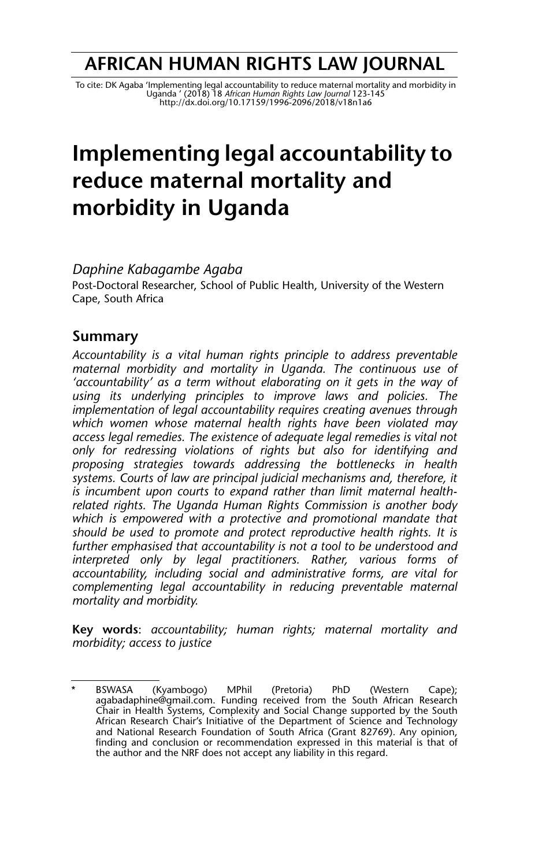## **AFRICAN HUMAN RIGHTS LAW JOURNAL**

To cite: DK Agaba 'Implementing legal accountability to reduce maternal mortality and morbidity in<br>Uganda ' (2018) 18 *African Human Rights Law Journal 123-145*<br>http://dx.doi.org/10.171*59/1996-2096/2018/v18n1a6* 

# **Implementing legal accountability to reduce maternal mortality and morbidity in Uganda**

*Daphine Kabagambe Agaba*

Post-Doctoral Researcher, School of Public Health, University of the Western Cape, South Africa

## **Summary**

*Accountability is a vital human rights principle to address preventable maternal morbidity and mortality in Uganda. The continuous use of 'accountability' as a term without elaborating on it gets in the way of using its underlying principles to improve laws and policies. The implementation of legal accountability requires creating avenues through which women whose maternal health rights have been violated may access legal remedies. The existence of adequate legal remedies is vital not only for redressing violations of rights but also for identifying and proposing strategies towards addressing the bottlenecks in health systems. Courts of law are principal judicial mechanisms and, therefore, it is incumbent upon courts to expand rather than limit maternal healthrelated rights. The Uganda Human Rights Commission is another body which is empowered with a protective and promotional mandate that should be used to promote and protect reproductive health rights. It is further emphasised that accountability is not a tool to be understood and interpreted only by legal practitioners. Rather, various forms of accountability, including social and administrative forms, are vital for complementing legal accountability in reducing preventable maternal mortality and morbidity.* 

**Key words**: *accountability; human rights; maternal mortality and morbidity; access to justice*

<sup>\*</sup> BSWASA (Kyambogo) MPhil (Pretoria) PhD (Western Cape); agabadaphine@gmail.com. Funding received from the South African Research Chair in Health Systems, Complexity and Social Change supported by the South African Research Chair's Initiative of the Department of Science and Technology and National Research Foundation of South Africa (Grant 82769). Any opinion, finding and conclusion or recommendation expressed in this material is that of the author and the NRF does not accept any liability in this regard.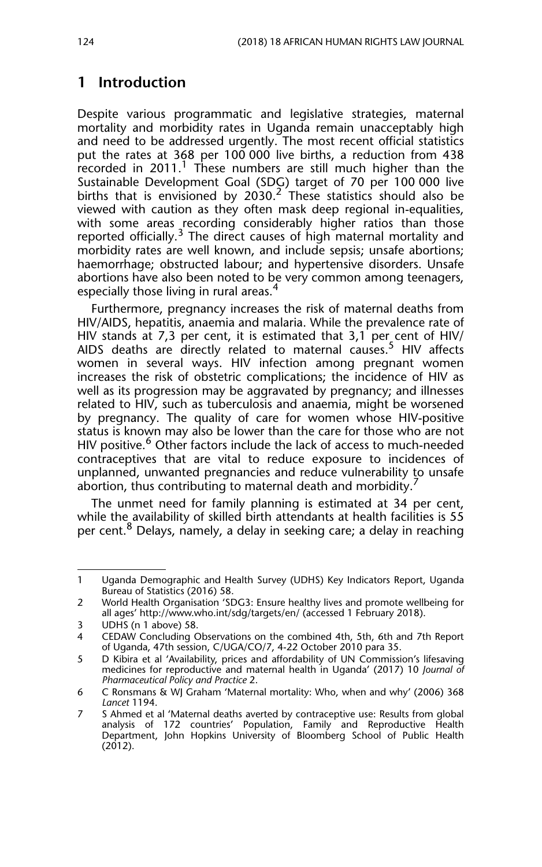## **1 Introduction**

Despite various programmatic and legislative strategies, maternal mortality and morbidity rates in Uganda remain unacceptably high and need to be addressed urgently. The most recent official statistics put the rates at 368 per 100 000 live births, a reduction from 438 recorded in 2011.<sup>1</sup> These numbers are still much higher than the Sustainable Development Goal (SDG) target of 70 per 100 000 live births that is envisioned by  $2030.<sup>2</sup>$  These statistics should also be viewed with caution as they often mask deep regional in-equalities, with some areas recording considerably higher ratios than those reported officially.<sup>3</sup> The direct causes of high maternal mortality and morbidity rates are well known, and include sepsis; unsafe abortions; haemorrhage; obstructed labour; and hypertensive disorders. Unsafe abortions have also been noted to be very common among teenagers, especially those living in rural areas.<sup>4</sup>

Furthermore, pregnancy increases the risk of maternal deaths from HIV/AIDS, hepatitis, anaemia and malaria. While the prevalence rate of HIV stands at 7,3 per cent, it is estimated that 3,1 per cent of HIV/ AIDS deaths are directly related to maternal causes.<sup>5</sup> HIV affects women in several ways. HIV infection among pregnant women increases the risk of obstetric complications; the incidence of HIV as well as its progression may be aggravated by pregnancy; and illnesses related to HIV, such as tuberculosis and anaemia, might be worsened by pregnancy. The quality of care for women whose HIV-positive status is known may also be lower than the care for those who are not HIV positive.<sup>6</sup> Other factors include the lack of access to much-needed contraceptives that are vital to reduce exposure to incidences of unplanned, unwanted pregnancies and reduce vulnerability to unsafe abortion, thus contributing to maternal death and morbidity.

The unmet need for family planning is estimated at 34 per cent, while the availability of skilled birth attendants at health facilities is 55 per cent.<sup>8</sup> Delays, namely, a delay in seeking care; a delay in reaching

<sup>1</sup> Uganda Demographic and Health Survey (UDHS) Key Indicators Report, Uganda Bureau of Statistics (2016) 58.

<sup>2</sup> World Health Organisation 'SDG3: Ensure healthy lives and promote wellbeing for all ages' http://www.who.int/sdg/targets/en/ (accessed 1 February 2018).

<sup>3</sup> UDHS (n 1 above) 58.<br>4 CEDAW Concluding C

CEDAW Concluding Observations on the combined 4th, 5th, 6th and 7th Report of Uganda, 47th session, C/UGA/CO/7, 4-22 October 2010 para 35.

<sup>5</sup> D Kibira et al 'Availability, prices and affordability of UN Commission's lifesaving medicines for reproductive and maternal health in Uganda' (2017) 10 *Journal of Pharmaceutical Policy and Practice* 2.

<sup>6</sup> C Ronsmans & WJ Graham 'Maternal mortality: Who, when and why' (2006) 368 *Lancet* 1194.

<sup>7</sup> S Ahmed et al 'Maternal deaths averted by contraceptive use: Results from global analysis of 172 countries' Population, Family and Reproductive Health Department, John Hopkins University of Bloomberg School of Public Health (2012).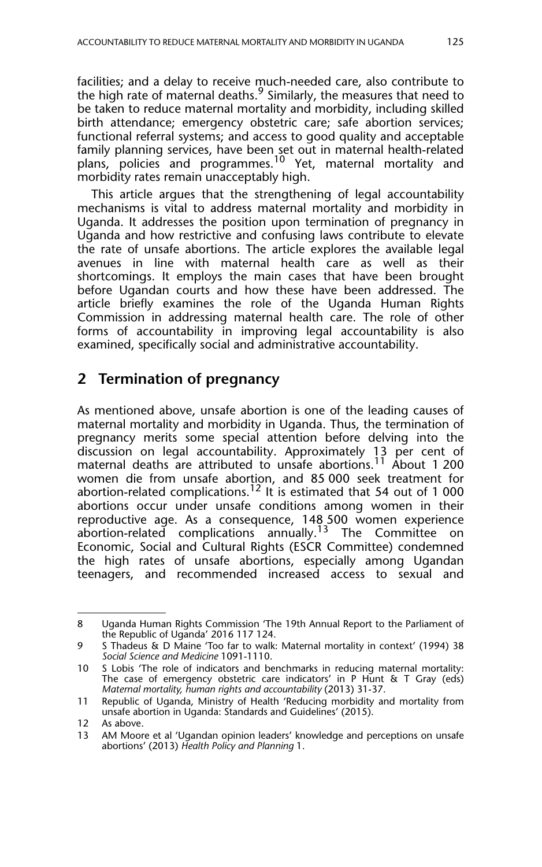facilities; and a delay to receive much-needed care, also contribute to the high rate of maternal deaths.<sup>9</sup> Similarly, the measures that need to be taken to reduce maternal mortality and morbidity, including skilled birth attendance; emergency obstetric care; safe abortion services; functional referral systems; and access to good quality and acceptable family planning services, have been set out in maternal health-related plans, policies and programmes.<sup>10</sup> Yet, maternal mortality and morbidity rates remain unacceptably high.

This article argues that the strengthening of legal accountability mechanisms is vital to address maternal mortality and morbidity in Uganda. It addresses the position upon termination of pregnancy in Uganda and how restrictive and confusing laws contribute to elevate the rate of unsafe abortions. The article explores the available legal avenues in line with maternal health care as well as their shortcomings. It employs the main cases that have been brought before Ugandan courts and how these have been addressed. The article briefly examines the role of the Uganda Human Rights Commission in addressing maternal health care. The role of other forms of accountability in improving legal accountability is also examined, specifically social and administrative accountability.

## **2 Termination of pregnancy**

As mentioned above, unsafe abortion is one of the leading causes of maternal mortality and morbidity in Uganda. Thus, the termination of pregnancy merits some special attention before delving into the discussion on legal accountability. Approximately 13 per cent of maternal deaths are attributed to unsafe abortions.<sup>11</sup> About 1 200 women die from unsafe abortion, and 85 000 seek treatment for abortion-related complications.<sup>12</sup> It is estimated that 54 out of 1 000 abortions occur under unsafe conditions among women in their reproductive age. As a consequence, 148 500 women experience abortion-related complications annually.13 The Committee on Economic, Social and Cultural Rights (ESCR Committee) condemned the high rates of unsafe abortions, especially among Ugandan teenagers, and recommended increased access to sexual and

<sup>8</sup> Uganda Human Rights Commission 'The 19th Annual Report to the Parliament of the Republic of Uganda' 2016 117 124.

<sup>9</sup> S Thadeus & D Maine 'Too far to walk: Maternal mortality in context' (1994) 38 *Social Science and Medicine* 1091-1110.

<sup>10</sup> S Lobis 'The role of indicators and benchmarks in reducing maternal mortality: The case of emergency obstetric care indicators' in P Hunt & T Gray (eds) *Maternal mortality, human rights and accountability* (2013) 31-37.

<sup>11</sup> Republic of Uganda, Ministry of Health 'Reducing morbidity and mortality from unsafe abortion in Uganda: Standards and Guidelines' (2015).

<sup>12</sup> As above.<br>13 AM Moor

AM Moore et al 'Ugandan opinion leaders' knowledge and perceptions on unsafe abortions' (2013) *Health Policy and Planning* 1.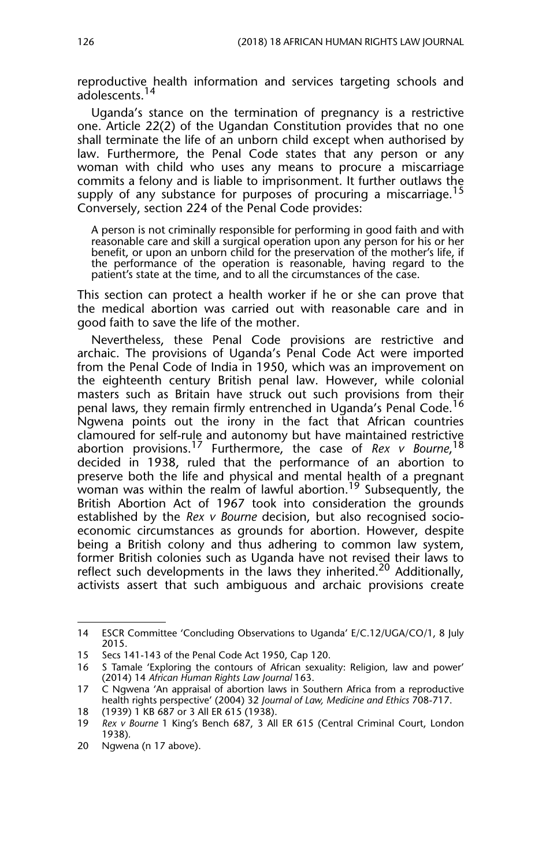reproductive health information and services targeting schools and adolescents.<sup>14</sup>

Uganda's stance on the termination of pregnancy is a restrictive one. Article 22(2) of the Ugandan Constitution provides that no one shall terminate the life of an unborn child except when authorised by law. Furthermore, the Penal Code states that any person or any woman with child who uses any means to procure a miscarriage commits a felony and is liable to imprisonment. It further outlaws the supply of any substance for purposes of procuring a miscarriage.<sup>15</sup> Conversely, section 224 of the Penal Code provides:

A person is not criminally responsible for performing in good faith and with reasonable care and skill a surgical operation upon any person for his or her benefit, or upon an unborn child for the preservation of the mother's life, if the performance of the operation is reasonable, having regard to the patient's state at the time, and to all the circumstances of the case.

This section can protect a health worker if he or she can prove that the medical abortion was carried out with reasonable care and in good faith to save the life of the mother.

Nevertheless, these Penal Code provisions are restrictive and archaic. The provisions of Uganda's Penal Code Act were imported from the Penal Code of India in 1950, which was an improvement on the eighteenth century British penal law. However, while colonial masters such as Britain have struck out such provisions from their penal laws, they remain firmly entrenched in Uganda's Penal Code.<sup>16</sup> Ngwena points out the irony in the fact that African countries clamoured for self-rule and autonomy but have maintained restrictive abortion provisions.17 Furthermore, the case of *Rex v Bourne*, 18 decided in 1938, ruled that the performance of an abortion to preserve both the life and physical and mental health of a pregnant woman was within the realm of lawful abortion.<sup>19</sup> Subsequently, the British Abortion Act of 1967 took into consideration the grounds established by the *Rex v Bourne* decision, but also recognised socioeconomic circumstances as grounds for abortion. However, despite being a British colony and thus adhering to common law system, former British colonies such as Uganda have not revised their laws to reflect such developments in the laws they inherited.<sup>20</sup> Additionally, activists assert that such ambiguous and archaic provisions create

<sup>14</sup> ESCR Committee 'Concluding Observations to Uganda' E/C.12/UGA/CO/1, 8 July 2015.

<sup>15</sup> Secs 141-143 of the Penal Code Act 1950, Cap 120.

<sup>16</sup> S Tamale 'Exploring the contours of African sexuality: Religion, law and power' (2014) 14 *African Human Rights Law Journal* 163.

<sup>17</sup> C Ngwena 'An appraisal of abortion laws in Southern Africa from a reproductive health rights perspective' (2004) 32 *Journal of Law, Medicine and Ethics* 708-717.

<sup>18 (1939) 1</sup> KB 687 or 3 All ER 615 (1938).

<sup>19</sup> *Rex v Bourne* 1 King's Bench 687, 3 All ER 615 (Central Criminal Court, London 1938)*.*

<sup>20</sup> Ngwena (n 17 above).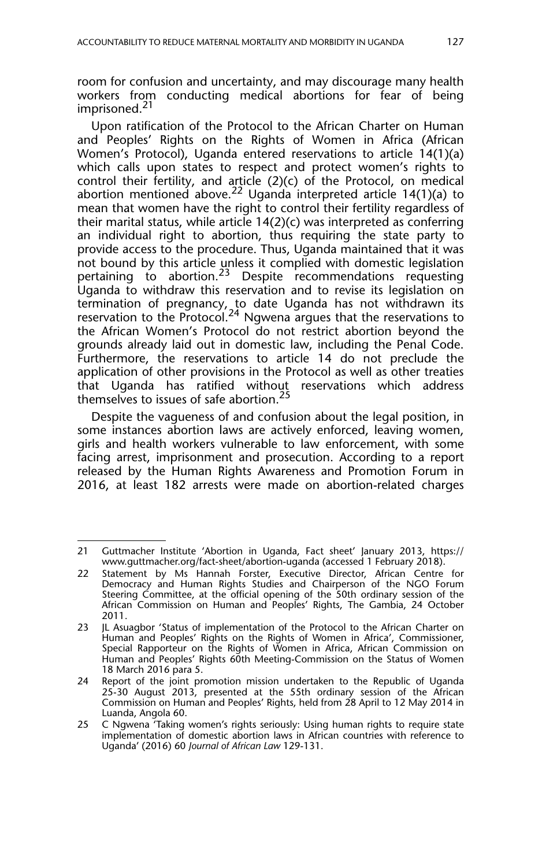room for confusion and uncertainty, and may discourage many health workers from conducting medical abortions for fear of being imprisoned.<sup>21</sup>

Upon ratification of the Protocol to the African Charter on Human and Peoples' Rights on the Rights of Women in Africa (African Women's Protocol), Uganda entered reservations to article 14(1)(a) which calls upon states to respect and protect women's rights to control their fertility, and article (2)(c) of the Protocol, on medical abortion mentioned above.22 Uganda interpreted article 14(1)(a) to mean that women have the right to control their fertility regardless of their marital status, while article 14(2)(c) was interpreted as conferring an individual right to abortion, thus requiring the state party to provide access to the procedure. Thus, Uganda maintained that it was not bound by this article unless it complied with domestic legislation pertaining to abortion.<sup>23</sup> Despite recommendations requesting Uganda to withdraw this reservation and to revise its legislation on termination of pregnancy, to date Uganda has not withdrawn its reservation to the Protocol.<sup>24</sup> Ngwena argues that the reservations to the African Women's Protocol do not restrict abortion beyond the grounds already laid out in domestic law, including the Penal Code. Furthermore, the reservations to article 14 do not preclude the application of other provisions in the Protocol as well as other treaties that Uganda has ratified without reservations which address themselves to issues of safe abortion.<sup>25</sup>

Despite the vagueness of and confusion about the legal position, in some instances abortion laws are actively enforced, leaving women, girls and health workers vulnerable to law enforcement, with some facing arrest, imprisonment and prosecution. According to a report released by the Human Rights Awareness and Promotion Forum in 2016, at least 182 arrests were made on abortion-related charges

<sup>21</sup> Guttmacher Institute 'Abortion in Uganda, Fact sheet' January 2013, https:// www.guttmacher.org/fact-sheet/abortion-uganda (accessed 1 February 2018).

<sup>22</sup> Statement by Ms Hannah Forster, Executive Director, African Centre for Democracy and Human Rights Studies and Chairperson of the NGO Forum Steering Committee, at the official opening of the 50th ordinary session of the African Commission on Human and Peoples' Rights, The Gambia, 24 October 2011.

<sup>23</sup> JL Asuagbor 'Status of implementation of the Protocol to the African Charter on Human and Peoples' Rights on the Rights of Women in Africa', Commissioner, Special Rapporteur on the Rights of Women in Africa, African Commission on Human and Peoples' Rights 60th Meeting-Commission on the Status of Women 18 March 2016 para 5.

<sup>24</sup> Report of the joint promotion mission undertaken to the Republic of Uganda 25-30 August 2013, presented at the 55th ordinary session of the African Commission on Human and Peoples' Rights, held from 28 April to 12 May 2014 in Luanda, Angola 60.

<sup>25</sup> C Ngwena 'Taking women's rights seriously: Using human rights to require state implementation of domestic abortion laws in African countries with reference to Uganda' (2016) 60 *Journal of African Law* 129-131.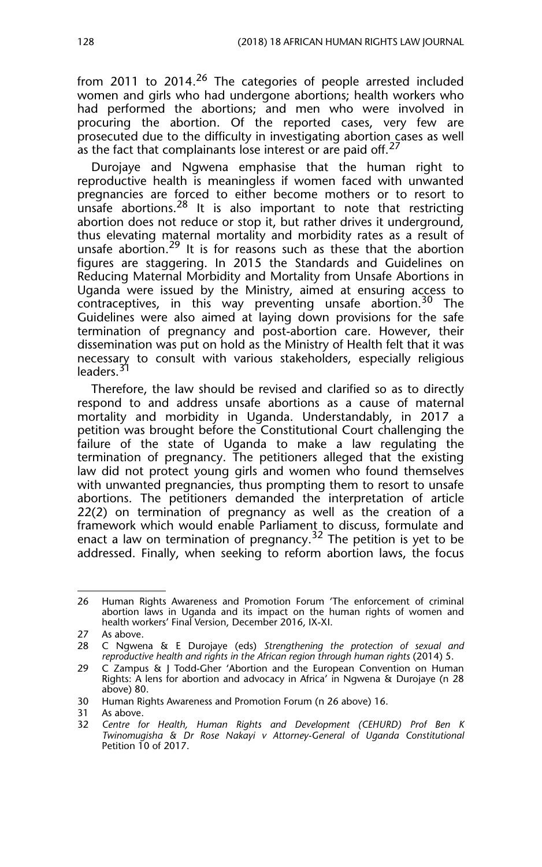from 2011 to 2014.<sup>26</sup> The categories of people arrested included women and girls who had undergone abortions; health workers who had performed the abortions; and men who were involved in procuring the abortion. Of the reported cases, very few are prosecuted due to the difficulty in investigating abortion cases as well as the fact that complainants lose interest or are paid off.<sup>2</sup>

Durojaye and Ngwena emphasise that the human right to reproductive health is meaningless if women faced with unwanted pregnancies are forced to either become mothers or to resort to unsafe abortions.<sup>28</sup> It is also important to note that restricting abortion does not reduce or stop it, but rather drives it underground, thus elevating maternal mortality and morbidity rates as a result of unsafe abortion.<sup>29</sup> It is for reasons such as these that the abortion figures are staggering. In 2015 the Standards and Guidelines on Reducing Maternal Morbidity and Mortality from Unsafe Abortions in Uganda were issued by the Ministry, aimed at ensuring access to contraceptives, in this way preventing unsafe abortion.<sup>30</sup> The Guidelines were also aimed at laying down provisions for the safe termination of pregnancy and post-abortion care. However, their dissemination was put on hold as the Ministry of Health felt that it was necessary to consult with various stakeholders, especially religious leaders.<sup>31</sup>

Therefore, the law should be revised and clarified so as to directly respond to and address unsafe abortions as a cause of maternal mortality and morbidity in Uganda. Understandably, in 2017 a petition was brought before the Constitutional Court challenging the failure of the state of Uganda to make a law regulating the termination of pregnancy. The petitioners alleged that the existing law did not protect young girls and women who found themselves with unwanted pregnancies, thus prompting them to resort to unsafe abortions. The petitioners demanded the interpretation of article 22(2) on termination of pregnancy as well as the creation of a framework which would enable Parliament to discuss, formulate and enact a law on termination of pregnancy.<sup>32</sup> The petition is yet to be addressed. Finally, when seeking to reform abortion laws, the focus

<sup>26</sup> Human Rights Awareness and Promotion Forum 'The enforcement of criminal abortion laws in Uganda and its impact on the human rights of women and health workers' Final Version, December 2016, IX-XI.

<sup>27</sup> As above.

<sup>28</sup> C Ngwena & E Durojaye (eds) *Strengthening the protection of sexual and reproductive health and rights in the African region through human rights* (2014) 5.

<sup>29</sup> C Zampus & J Todd-Gher 'Abortion and the European Convention on Human Rights: A lens for abortion and advocacy in Africa' in Ngwena & Durojaye (n 28 above) 80.

<sup>30</sup> Human Rights Awareness and Promotion Forum (n 26 above) 16.

<sup>31</sup> As above.

<sup>32</sup> *Centre for Health, Human Rights and Development (CEHURD) Prof Ben K Twinomugisha & Dr Rose Nakayi v Attorney-General of Uganda Constitutional* Petition 10 of 2017.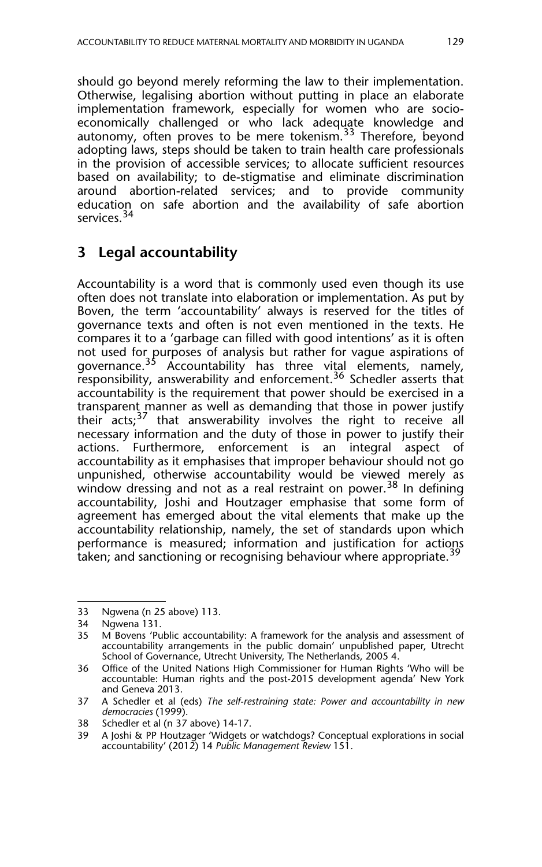should go beyond merely reforming the law to their implementation. Otherwise, legalising abortion without putting in place an elaborate implementation framework, especially for women who are socioeconomically challenged or who lack adequate knowledge and autonomy, often proves to be mere tokenism.<sup>33</sup> Therefore, bevond adopting laws, steps should be taken to train health care professionals in the provision of accessible services; to allocate sufficient resources based on availability; to de-stigmatise and eliminate discrimination around abortion-related services; and to provide community education on safe abortion and the availability of safe abortion services.<sup>34</sup>

## **3 Legal accountability**

Accountability is a word that is commonly used even though its use often does not translate into elaboration or implementation. As put by Boven, the term 'accountability' always is reserved for the titles of governance texts and often is not even mentioned in the texts. He compares it to a 'garbage can filled with good intentions' as it is often not used for purposes of analysis but rather for vague aspirations of governance.<sup>35</sup> Accountability has three vital elements, namely, responsibility, answerability and enforcement.<sup>36</sup> Schedler asserts that accountability is the requirement that power should be exercised in a transparent manner as well as demanding that those in power justify their  $acts; <sup>37</sup>$  that answerability involves the right to receive all necessary information and the duty of those in power to justify their actions. Furthermore, enforcement is an integral aspect of accountability as it emphasises that improper behaviour should not go unpunished, otherwise accountability would be viewed merely as window dressing and not as a real restraint on power.<sup>38</sup> In defining accountability, Joshi and Houtzager emphasise that some form of agreement has emerged about the vital elements that make up the accountability relationship, namely, the set of standards upon which performance is measured; information and justification for actions taken; and sanctioning or recognising behaviour where appropriate.<sup>39</sup>

<sup>33</sup> Ngwena (n 25 above) 113.

Ngwena 131.

<sup>35</sup> M Bovens 'Public accountability: A framework for the analysis and assessment of accountability arrangements in the public domain' unpublished paper, Utrecht School of Governance, Utrecht University, The Netherlands, 2005 4.

<sup>36</sup> Office of the United Nations High Commissioner for Human Rights 'Who will be accountable: Human rights and the post-2015 development agenda' New York and Geneva 2013.

<sup>37</sup> A Schedler et al (eds) *The self-restraining state: Power and accountability in new democracies* (1999).

<sup>38</sup> Schedler et al (n 37 above) 14-17.<br>39 A Joshi & PP Houtzager Widgets c

<sup>39</sup> A Joshi & PP Houtzager 'Widgets or watchdogs? Conceptual explorations in social accountability' (2012) 14 *Public Management Review* 151.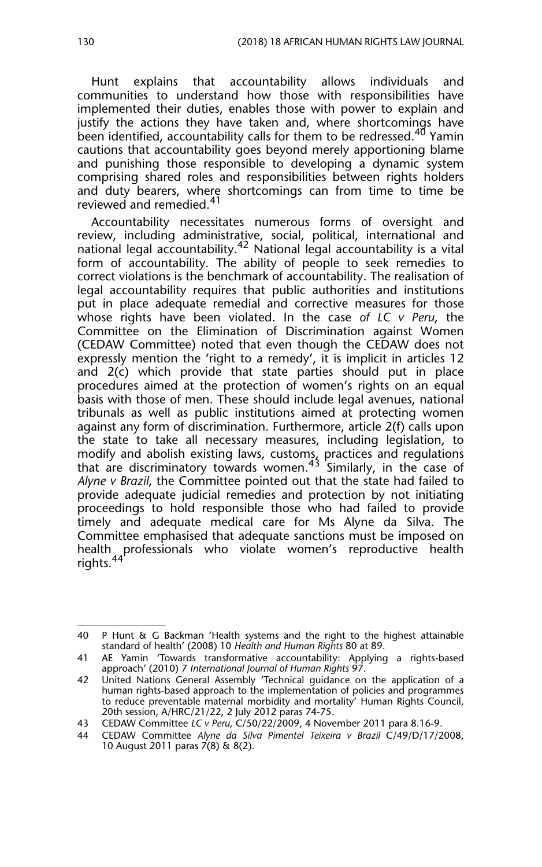Hunt explains that accountability allows individuals and communities to understand how those with responsibilities have implemented their duties, enables those with power to explain and justify the actions they have taken and, where shortcomings have been identified, accountability calls for them to be redressed.<sup>40</sup> Yamin cautions that accountability goes beyond merely apportioning blame and punishing those responsible to developing a dynamic system comprising shared roles and responsibilities between rights holders and duty bearers, where shortcomings can from time to time be reviewed and remedied.<sup>41</sup>

Accountability necessitates numerous forms of oversight and review, including administrative, social, political, international and national legal accountability.<sup>42</sup> National legal accountability is a vital form of accountability. The ability of people to seek remedies to correct violations is the benchmark of accountability. The realisation of legal accountability requires that public authorities and institutions put in place adequate remedial and corrective measures for those whose rights have been violated. In the case *of LC v Peru*, the Committee on the Elimination of Discrimination against Women (CEDAW Committee) noted that even though the CEDAW does not expressly mention the 'right to a remedy', it is implicit in articles 12 and 2(c) which provide that state parties should put in place procedures aimed at the protection of women's rights on an equal basis with those of men. These should include legal avenues, national tribunals as well as public institutions aimed at protecting women against any form of discrimination. Furthermore, article 2(f) calls upon the state to take all necessary measures, including legislation, to modify and abolish existing laws, customs, practices and regulations that are discriminatory towards women.<sup>43</sup> Similarly, in the case of *Alyne v Brazil*, the Committee pointed out that the state had failed to provide adequate judicial remedies and protection by not initiating proceedings to hold responsible those who had failed to provide timely and adequate medical care for Ms Alyne da Silva. The Committee emphasised that adequate sanctions must be imposed on health professionals who violate women's reproductive health rights.<sup>44</sup>

<sup>40</sup> P Hunt & G Backman 'Health systems and the right to the highest attainable standard of health' (2008) 10 *Health and Human Rights* 80 at 89.

<sup>41</sup> AE Yamin 'Towards transformative accountability: Applying a rights-based approach' (2010) 7 *International Journal of Human Rights* 97.

<sup>42</sup> United Nations General Assembly 'Technical guidance on the application of a human rights-based approach to the implementation of policies and programmes to reduce preventable maternal morbidity and mortality' Human Rights Council, 20th session, A/HRC/21/22, 2 July 2012 paras 74-75.

<sup>43</sup> CEDAW Committee *LC v Peru*, C/50/22/2009, 4 November 2011 para 8.16-9.

<sup>44</sup> CEDAW Committee *Alyne da Silva Pimentel Teixeira v Brazil* C/49/D/17/2008, 10 August 2011 paras 7(8) & 8(2).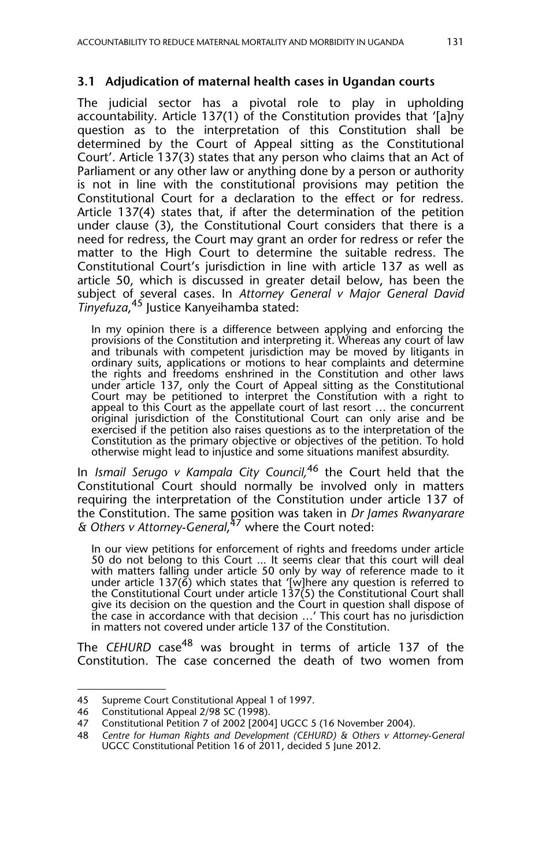#### **3.1 Adjudication of maternal health cases in Ugandan courts**

The judicial sector has a pivotal role to play in upholding accountability. Article 137(1) of the Constitution provides that '[a]ny question as to the interpretation of this Constitution shall be determined by the Court of Appeal sitting as the Constitutional Court'. Article 137(3) states that any person who claims that an Act of Parliament or any other law or anything done by a person or authority is not in line with the constitutional provisions may petition the Constitutional Court for a declaration to the effect or for redress. Article 137(4) states that, if after the determination of the petition under clause (3), the Constitutional Court considers that there is a need for redress, the Court may grant an order for redress or refer the matter to the High Court to determine the suitable redress. The Constitutional Court's jurisdiction in line with article 137 as well as article 50, which is discussed in greater detail below, has been the subject of several cases. In *Attorney General v Major General David Tinyefuza*, <sup>45</sup> Justice Kanyeihamba stated:

In my opinion there is a difference between applying and enforcing the provisions of the Constitution and interpreting it. Whereas any court of law and tribunals with competent jurisdiction may be moved by litigants in ordinary suits, applications or motions to hear complaints and determine the rights and freedoms enshrined in the Constitution and other laws under article 137, only the Court of Appeal sitting as the Constitutional Court may be petitioned to interpret the Constitution with a right to appeal to this Court as the appellate court of last resort … the concurrent original jurisdiction of the Constitutional Court can only arise and be exercised if the petition also raises questions as to the interpretation of the Constitution as the primary objective or objectives of the petition. To hold otherwise might lead to injustice and some situations manifest absurdity.

In *Ismail Serugo v Kampala City Council,*<sup>46</sup> the Court held that the Constitutional Court should normally be involved only in matters requiring the interpretation of the Constitution under article 137 of the Constitution. The same position was taken in *Dr James Rwanyarare & Others v Attorney-General*, 47 where the Court noted:

In our view petitions for enforcement of rights and freedoms under article 50 do not belong to this Court ... It seems clear that this court will deal with matters falling under article 50 only by way of reference made to it under article 137(6) which states that '[w]here any question is referred to the Constitutional Court under article 137(5) the Constitutional Court shall give its decision on the question and the Court in question shall dispose of the case in accordance with that decision …' This court has no jurisdiction in matters not covered under article 137 of the Constitution.

The *CEHURD* case<sup>48</sup> was brought in terms of article 137 of the Constitution. The case concerned the death of two women from

<sup>45</sup> Supreme Court Constitutional Appeal 1 of 1997.

<sup>46</sup> Constitutional Appeal 2/98 SC (1998).

<sup>47</sup> Constitutional Petition 7 of 2002 [2004] UGCC 5 (16 November 2004).<br>48 Centre for Human Rights and Development (CEHURD) & Others v Attorn

<sup>48</sup> *Centre for Human Rights and Development (CEHURD) & Others v Attorney-General* UGCC Constitutional Petition 16 of 2011, decided 5 June 2012.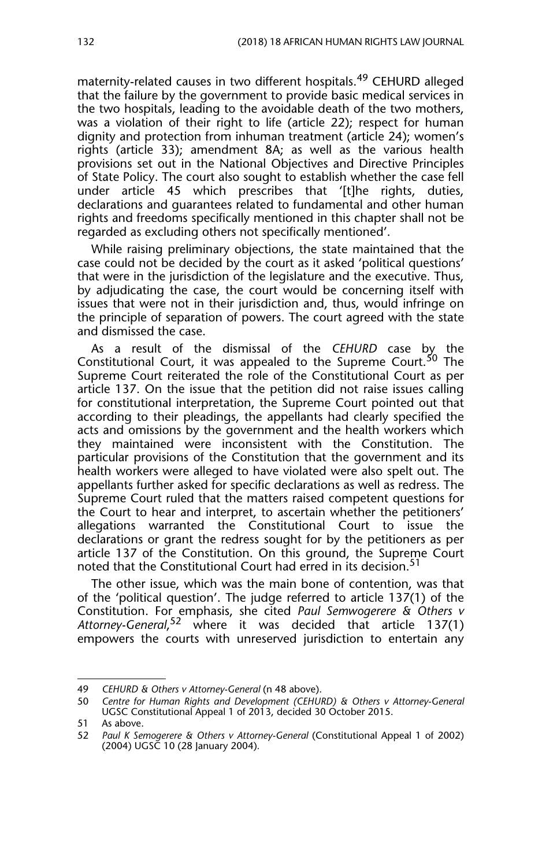maternity-related causes in two different hospitals.<sup>49</sup> CEHURD alleged that the failure by the government to provide basic medical services in the two hospitals, leading to the avoidable death of the two mothers, was a violation of their right to life (article 22); respect for human dignity and protection from inhuman treatment (article 24); women's rights (article 33); amendment 8A; as well as the various health provisions set out in the National Objectives and Directive Principles of State Policy. The court also sought to establish whether the case fell under article 45 which prescribes that '[t]he rights, duties, declarations and guarantees related to fundamental and other human rights and freedoms specifically mentioned in this chapter shall not be regarded as excluding others not specifically mentioned'.

While raising preliminary objections, the state maintained that the case could not be decided by the court as it asked 'political questions' that were in the jurisdiction of the legislature and the executive. Thus, by adjudicating the case, the court would be concerning itself with issues that were not in their jurisdiction and, thus, would infringe on the principle of separation of powers. The court agreed with the state and dismissed the case.

As a result of the dismissal of the *CEHURD* case by the Constitutional Court, it was appealed to the Supreme Court.<sup>50</sup> The Supreme Court reiterated the role of the Constitutional Court as per article 137. On the issue that the petition did not raise issues calling for constitutional interpretation, the Supreme Court pointed out that according to their pleadings, the appellants had clearly specified the acts and omissions by the government and the health workers which they maintained were inconsistent with the Constitution. The particular provisions of the Constitution that the government and its health workers were alleged to have violated were also spelt out. The appellants further asked for specific declarations as well as redress. The Supreme Court ruled that the matters raised competent questions for the Court to hear and interpret, to ascertain whether the petitioners' allegations warranted the Constitutional Court to issue the declarations or grant the redress sought for by the petitioners as per article 137 of the Constitution. On this ground, the Supreme Court noted that the Constitutional Court had erred in its decision.<sup>51</sup>

The other issue, which was the main bone of contention, was that of the 'political question'. The judge referred to article 137(1) of the Constitution. For emphasis, she cited *Paul Semwogerere & Others v Attorney-General*, <sup>52</sup> where it was decided that article 137(1) empowers the courts with unreserved jurisdiction to entertain any

<sup>49</sup> *CEHURD & Others v Attorney-General* (n 48 above).

<sup>50</sup> *Centre for Human Rights and Development (CEHURD) & Others v Attorney-General* UGSC Constitutional Appeal 1 of 2013, decided 30 October 2015.

<sup>51</sup> As above.

<sup>52</sup> *Paul K Semogerere & Others v Attorney-General* (Constitutional Appeal 1 of 2002) (2004) UGSC 10 (28 January 2004)*.*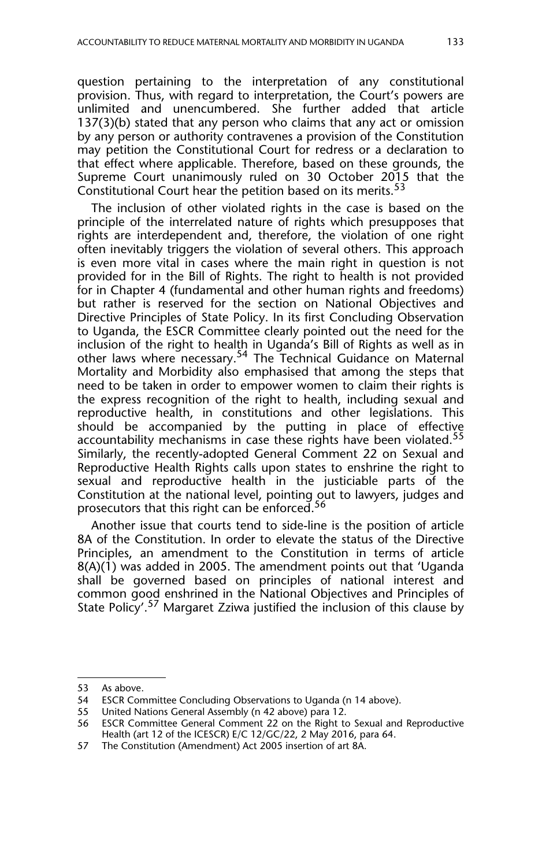question pertaining to the interpretation of any constitutional provision. Thus, with regard to interpretation, the Court's powers are unlimited and unencumbered. She further added that article 137(3)(b) stated that any person who claims that any act or omission by any person or authority contravenes a provision of the Constitution may petition the Constitutional Court for redress or a declaration to that effect where applicable. Therefore, based on these grounds, the Supreme Court unanimously ruled on 30 October 2015 that the Constitutional Court hear the petition based on its merits.<sup>53</sup>

The inclusion of other violated rights in the case is based on the principle of the interrelated nature of rights which presupposes that rights are interdependent and, therefore, the violation of one right often inevitably triggers the violation of several others. This approach is even more vital in cases where the main right in question is not provided for in the Bill of Rights. The right to health is not provided for in Chapter 4 (fundamental and other human rights and freedoms) but rather is reserved for the section on National Objectives and Directive Principles of State Policy. In its first Concluding Observation to Uganda, the ESCR Committee clearly pointed out the need for the inclusion of the right to health in Uganda's Bill of Rights as well as in other laws where necessary.<sup>54</sup> The Technical Guidance on Maternal Mortality and Morbidity also emphasised that among the steps that need to be taken in order to empower women to claim their rights is the express recognition of the right to health, including sexual and reproductive health, in constitutions and other legislations. This should be accompanied by the putting in place of effective accountability mechanisms in case these rights have been violated.<sup>55</sup> Similarly, the recently-adopted General Comment 22 on Sexual and Reproductive Health Rights calls upon states to enshrine the right to sexual and reproductive health in the justiciable parts of the Constitution at the national level, pointing out to lawyers, judges and prosecutors that this right can be enforced.<sup>56</sup>

Another issue that courts tend to side-line is the position of article 8A of the Constitution. In order to elevate the status of the Directive Principles, an amendment to the Constitution in terms of article 8(A)(1) was added in 2005. The amendment points out that 'Uganda shall be governed based on principles of national interest and common good enshrined in the National Objectives and Principles of State Policy'.57 Margaret Zziwa justified the inclusion of this clause by

<sup>53</sup> As above.<br>54 ESCR Com

ESCR Committee Concluding Observations to Uganda (n 14 above).

<sup>55</sup> United Nations General Assembly (n 42 above) para 12.

<sup>56</sup> ESCR Committee General Comment 22 on the Right to Sexual and Reproductive Health (art 12 of the ICESCR) E/C 12/GC/22, 2 May 2016, para 64.

<sup>57</sup> The Constitution (Amendment) Act 2005 insertion of art 8A.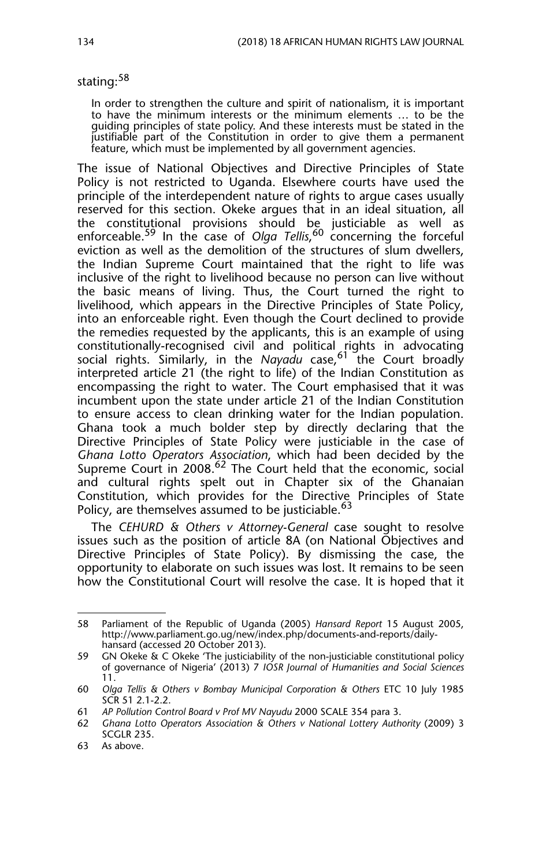stating:<sup>58</sup>

In order to strengthen the culture and spirit of nationalism, it is important to have the minimum interests or the minimum elements … to be the guiding principles of state policy. And these interests must be stated in the justifiable part of the Constitution in order to give them a permanent feature, which must be implemented by all government agencies.

The issue of National Objectives and Directive Principles of State Policy is not restricted to Uganda. Elsewhere courts have used the principle of the interdependent nature of rights to argue cases usually reserved for this section. Okeke argues that in an ideal situation, all the constitutional provisions should be justiciable as well as enforceable.59 In the case of *Olga Tellis*, <sup>60</sup> concerning the forceful eviction as well as the demolition of the structures of slum dwellers, the Indian Supreme Court maintained that the right to life was inclusive of the right to livelihood because no person can live without the basic means of living. Thus, the Court turned the right to livelihood, which appears in the Directive Principles of State Policy, into an enforceable right. Even though the Court declined to provide the remedies requested by the applicants, this is an example of using constitutionally-recognised civil and political rights in advocating social rights. Similarly, in the *Nayadu* case,<sup>61</sup> the Court broadly interpreted article 21 (the right to life) of the Indian Constitution as encompassing the right to water. The Court emphasised that it was incumbent upon the state under article 21 of the Indian Constitution to ensure access to clean drinking water for the Indian population. Ghana took a much bolder step by directly declaring that the Directive Principles of State Policy were justiciable in the case of *Ghana Lotto Operators Association*, which had been decided by the Supreme Court in 2008.<sup>62</sup> The Court held that the economic, social and cultural rights spelt out in Chapter six of the Ghanaian Constitution, which provides for the Directive Principles of State Policy, are themselves assumed to be justiciable.<sup>63</sup>

The *CEHURD & Others v Attorney-General* case sought to resolve issues such as the position of article 8A (on National Objectives and Directive Principles of State Policy). By dismissing the case, the opportunity to elaborate on such issues was lost. It remains to be seen how the Constitutional Court will resolve the case. It is hoped that it

<sup>58</sup> Parliament of the Republic of Uganda (2005) *Hansard Report* 15 August 2005, http://www.parliament.go.ug/new/index.php/documents-and-reports/dailyhansard (accessed 20 October 2013).

<sup>59</sup> GN Okeke & C Okeke 'The justiciability of the non-justiciable constitutional policy of governance of Nigeria' (2013) 7 *IOSR Journal of Humanities and Social Sciences* 11.

<sup>60</sup> *Olga Tellis & Others v Bombay Municipal Corporation & Others* ETC 10 July 1985 SCR 51 2.1-2.2.

<sup>61</sup> *AP Pollution Control Board v Prof MV Nayudu* 2000 SCALE 354 para 3.

<sup>62</sup> *Ghana Lotto Operators Association & Others v National Lottery Authority* (2009) 3 SCGLR 235.

<sup>63</sup> As above.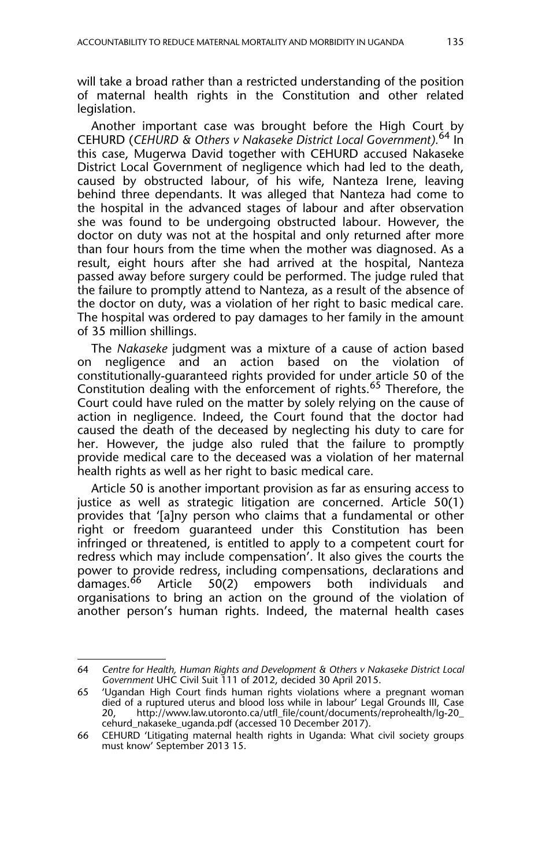will take a broad rather than a restricted understanding of the position of maternal health rights in the Constitution and other related legislation.

Another important case was brought before the High Court by CEHURD (*CEHURD & Others v Nakaseke District Local Government).*<sup>64</sup> In this case, Mugerwa David together with CEHURD accused Nakaseke District Local Government of negligence which had led to the death, caused by obstructed labour, of his wife, Nanteza Irene, leaving behind three dependants. It was alleged that Nanteza had come to the hospital in the advanced stages of labour and after observation she was found to be undergoing obstructed labour. However, the doctor on duty was not at the hospital and only returned after more than four hours from the time when the mother was diagnosed. As a result, eight hours after she had arrived at the hospital, Nanteza passed away before surgery could be performed. The judge ruled that the failure to promptly attend to Nanteza, as a result of the absence of the doctor on duty, was a violation of her right to basic medical care. The hospital was ordered to pay damages to her family in the amount of 35 million shillings.

The *Nakaseke* judgment was a mixture of a cause of action based on negligence and an action based on the violation of constitutionally-guaranteed rights provided for under article 50 of the Constitution dealing with the enforcement of rights.<sup>65</sup> Therefore, the Court could have ruled on the matter by solely relying on the cause of action in negligence. Indeed, the Court found that the doctor had caused the death of the deceased by neglecting his duty to care for her. However, the judge also ruled that the failure to promptly provide medical care to the deceased was a violation of her maternal health rights as well as her right to basic medical care.

Article 50 is another important provision as far as ensuring access to justice as well as strategic litigation are concerned. Article 50(1) provides that '[a]ny person who claims that a fundamental or other right or freedom guaranteed under this Constitution has been infringed or threatened, is entitled to apply to a competent court for redress which may include compensation'. It also gives the courts the power to provide redress, including compensations, declarations and damages.<sup>66</sup> Article 50(2) empowers both individuals and empowers both individuals and organisations to bring an action on the ground of the violation of another person's human rights. Indeed, the maternal health cases

<sup>64</sup> *Centre for Health, Human Rights and Development & Others v Nakaseke District Local Government* UHC Civil Suit 111 of 2012, decided 30 April 2015.

<sup>65 &#</sup>x27;Ugandan High Court finds human rights violations where a pregnant woman died of a ruptured uterus and blood loss while in labour' Legal Grounds III, Case<br>20, http://www.law.utoronto.ca/utfl\_file/count/documents/reprohealth/lq-20 http://www.law.utoronto.ca/utfl\_file/count/documents/reprohealth/lg-20\_ cehurd\_nakaseke\_uganda.pdf (accessed 10 December 2017).

<sup>66</sup> CEHURD 'Litigating maternal health rights in Uganda: What civil society groups must know' September 2013 15.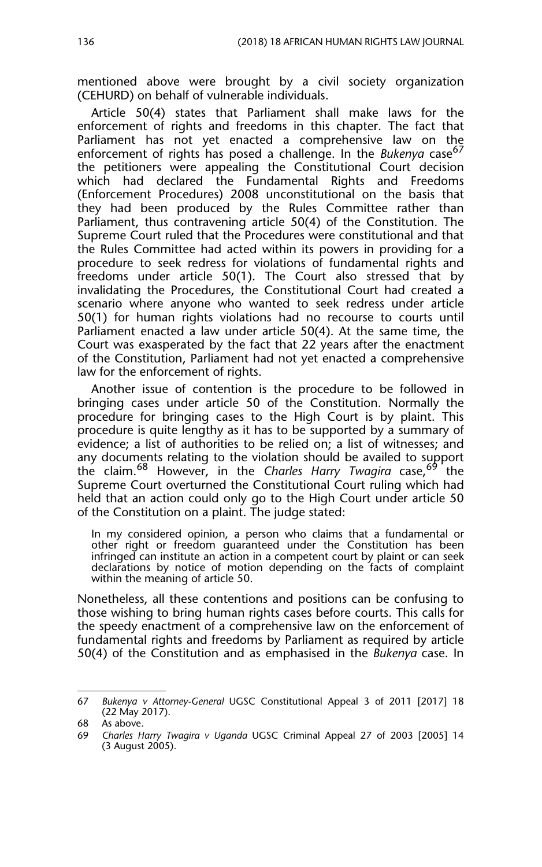mentioned above were brought by a civil society organization (CEHURD) on behalf of vulnerable individuals.

Article 50(4) states that Parliament shall make laws for the enforcement of rights and freedoms in this chapter. The fact that Parliament has not yet enacted a comprehensive law on the enforcement of rights has posed a challenge. In the *Bukenya* case<sup>67</sup> the petitioners were appealing the Constitutional Court decision which had declared the Fundamental Rights and Freedoms (Enforcement Procedures) 2008 unconstitutional on the basis that they had been produced by the Rules Committee rather than Parliament, thus contravening article 50(4) of the Constitution. The Supreme Court ruled that the Procedures were constitutional and that the Rules Committee had acted within its powers in providing for a procedure to seek redress for violations of fundamental rights and freedoms under article 50(1). The Court also stressed that by invalidating the Procedures, the Constitutional Court had created a scenario where anyone who wanted to seek redress under article 50(1) for human rights violations had no recourse to courts until Parliament enacted a law under article 50(4). At the same time, the Court was exasperated by the fact that 22 years after the enactment of the Constitution, Parliament had not yet enacted a comprehensive law for the enforcement of rights.

Another issue of contention is the procedure to be followed in bringing cases under article 50 of the Constitution. Normally the procedure for bringing cases to the High Court is by plaint. This procedure is quite lengthy as it has to be supported by a summary of evidence; a list of authorities to be relied on; a list of witnesses; and any documents relating to the violation should be availed to support the claim.68 However, in the *Charles Harry Twagira* case,<sup>69</sup> the Supreme Court overturned the Constitutional Court ruling which had held that an action could only go to the High Court under article 50 of the Constitution on a plaint. The judge stated:

In my considered opinion, a person who claims that a fundamental or other right or freedom guaranteed under the Constitution has been infringed can institute an action in a competent court by plaint or can seek declarations by notice of motion depending on the facts of complaint within the meaning of article 50.

Nonetheless, all these contentions and positions can be confusing to those wishing to bring human rights cases before courts. This calls for the speedy enactment of a comprehensive law on the enforcement of fundamental rights and freedoms by Parliament as required by article 50(4) of the Constitution and as emphasised in the *Bukenya* case. In

<sup>67</sup> *Bukenya v Attorney-General* UGSC Constitutional Appeal 3 of 2011 [2017] 18 (22 May 2017).

<sup>68</sup> As above.<br>69 Charles H.

<sup>69</sup> *Charles Harry Twagira v Uganda* UGSC Criminal Appeal 27 of 2003 [2005] 14 (3 August 2005).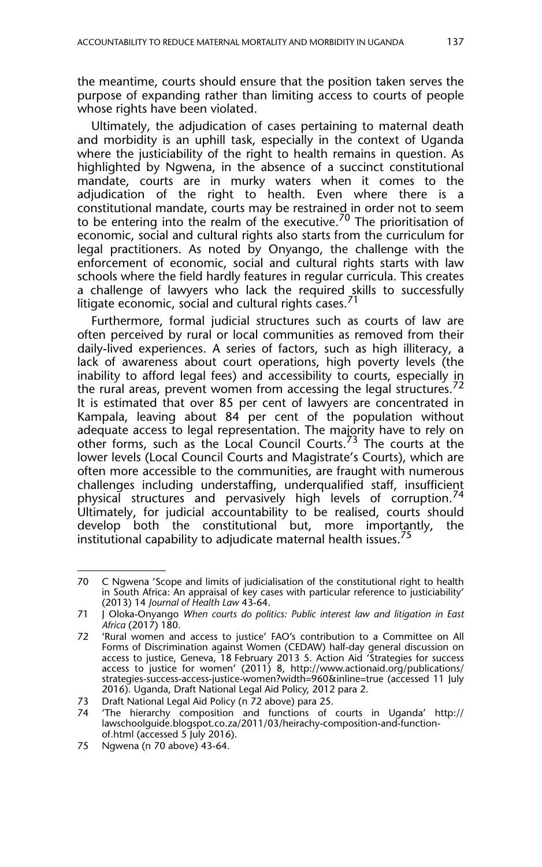the meantime, courts should ensure that the position taken serves the purpose of expanding rather than limiting access to courts of people whose rights have been violated.

Ultimately, the adjudication of cases pertaining to maternal death and morbidity is an uphill task, especially in the context of Uganda where the justiciability of the right to health remains in question. As highlighted by Ngwena, in the absence of a succinct constitutional mandate, courts are in murky waters when it comes to the adjudication of the right to health. Even where there is a constitutional mandate, courts may be restrained in order not to seem to be entering into the realm of the executive.<sup>70</sup> The prioritisation of economic, social and cultural rights also starts from the curriculum for legal practitioners. As noted by Onyango, the challenge with the enforcement of economic, social and cultural rights starts with law schools where the field hardly features in regular curricula. This creates a challenge of lawyers who lack the required skills to successfully litigate economic, social and cultural rights cases.<sup>71</sup>

Furthermore, formal judicial structures such as courts of law are often perceived by rural or local communities as removed from their daily-lived experiences. A series of factors, such as high illiteracy, a lack of awareness about court operations, high poverty levels (the inability to afford legal fees) and accessibility to courts, especially in the rural areas, prevent women from accessing the legal structures.<sup>72</sup> It is estimated that over 85 per cent of lawyers are concentrated in Kampala, leaving about 84 per cent of the population without adequate access to legal representation. The majority have to rely on other forms, such as the Local Council Courts.<sup>73</sup> The courts at the lower levels (Local Council Courts and Magistrate's Courts), which are often more accessible to the communities, are fraught with numerous challenges including understaffing, underqualified staff, insufficient physical structures and pervasively high levels of corruption.<sup>74</sup> Ultimately, for judicial accountability to be realised, courts should develop both the constitutional but, more importantly, the institutional capability to adjudicate maternal health issues.<sup>75</sup>

<sup>70</sup> C Ngwena 'Scope and limits of judicialisation of the constitutional right to health in South Africa: An appraisal of key cases with particular reference to justiciability' (2013) 14 *Journal of Health Law* 43-64.

<sup>71</sup> J Oloka-Onyango *When courts do politics: Public interest law and litigation in East Africa* (2017) 180.

<sup>72 &#</sup>x27;Rural women and access to justice' FAO's contribution to a Committee on All Forms of Discrimination against Women (CEDAW) half-day general discussion on access to justice, Geneva, 18 February 2013 5. Action Aid 'Strategies for success access to justice for women' (2011) 8, http://www.actionaid.org/publications/ strategies-success-access-justice-women?width=960&inline=true (accessed 11 July 2016). Uganda, Draft National Legal Aid Policy, 2012 para 2.

<sup>73</sup> Draft National Legal Aid Policy (n 72 above) para 25.

<sup>&#</sup>x27;The hierarchy composition and functions of courts in Uganda' http:// lawschoolguide.blogspot.co.za/2011/03/heirachy-composition-and-functionof.html (accessed 5 July 2016).

<sup>75</sup> Ngwena (n 70 above) 43-64.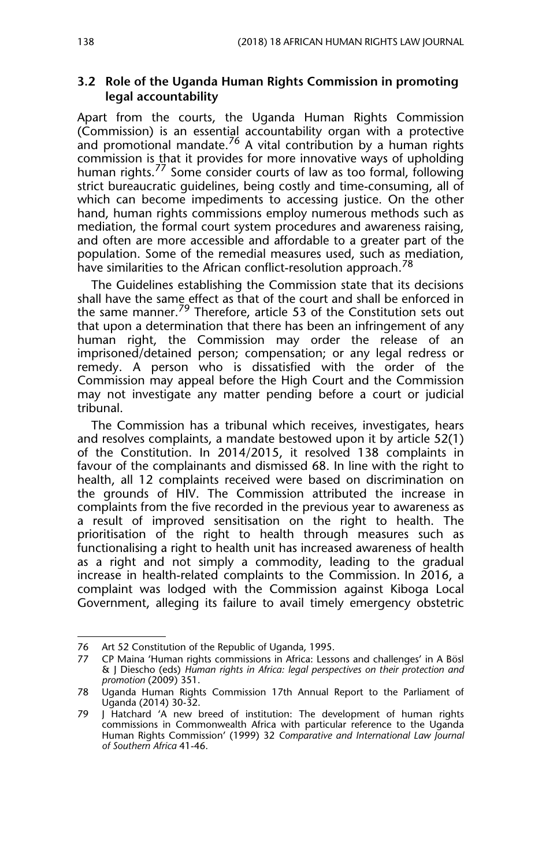#### **3.2 Role of the Uganda Human Rights Commission in promoting legal accountability**

Apart from the courts, the Uganda Human Rights Commission (Commission) is an essential accountability organ with a protective and promotional mandate.<sup>76</sup> A vital contribution by a human rights commission is that it provides for more innovative ways of upholding human rights.<sup>77</sup> Some consider courts of law as too formal, following strict bureaucratic guidelines, being costly and time-consuming, all of which can become impediments to accessing justice. On the other hand, human rights commissions employ numerous methods such as mediation, the formal court system procedures and awareness raising, and often are more accessible and affordable to a greater part of the population. Some of the remedial measures used, such as mediation, have similarities to the African conflict-resolution approach.<sup>78</sup>

The Guidelines establishing the Commission state that its decisions shall have the same effect as that of the court and shall be enforced in the same manner.<sup>79</sup> Therefore, article 53 of the Constitution sets out that upon a determination that there has been an infringement of any human right, the Commission may order the release of an imprisoned/detained person; compensation; or any legal redress or remedy. A person who is dissatisfied with the order of the Commission may appeal before the High Court and the Commission may not investigate any matter pending before a court or judicial tribunal.

The Commission has a tribunal which receives, investigates, hears and resolves complaints, a mandate bestowed upon it by article 52(1) of the Constitution. In 2014/2015, it resolved 138 complaints in favour of the complainants and dismissed 68. In line with the right to health, all 12 complaints received were based on discrimination on the grounds of HIV. The Commission attributed the increase in complaints from the five recorded in the previous year to awareness as a result of improved sensitisation on the right to health. The prioritisation of the right to health through measures such as functionalising a right to health unit has increased awareness of health as a right and not simply a commodity, leading to the gradual increase in health-related complaints to the Commission. In 2016, a complaint was lodged with the Commission against Kiboga Local Government, alleging its failure to avail timely emergency obstetric

<sup>76</sup> Art 52 Constitution of the Republic of Uganda, 1995.

<sup>77</sup> CP Maina 'Human rights commissions in Africa: Lessons and challenges' in A Bösl & J Diescho (eds) *Human rights in Africa: legal perspectives on their protection and promotion* (2009) 351.

<sup>78</sup> Uganda Human Rights Commission 17th Annual Report to the Parliament of Uganda (2014) 30-32.

<sup>79</sup> J Hatchard 'A new breed of institution: The development of human rights commissions in Commonwealth Africa with particular reference to the Uganda Human Rights Commission' (1999) 32 *Comparative and International Law Journal of Southern Africa* 41-46.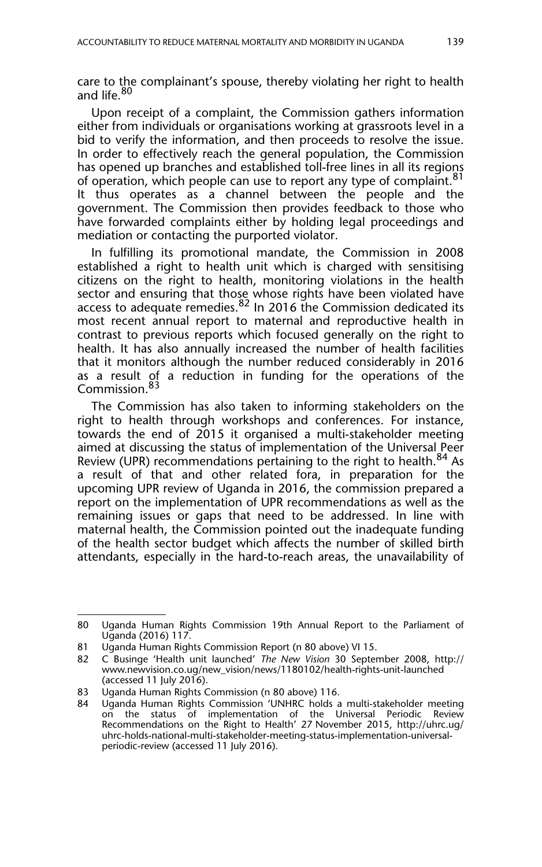care to the complainant's spouse, thereby violating her right to health and life.<sup>80</sup>

Upon receipt of a complaint, the Commission gathers information either from individuals or organisations working at grassroots level in a bid to verify the information, and then proceeds to resolve the issue. In order to effectively reach the general population, the Commission has opened up branches and established toll-free lines in all its regions of operation, which people can use to report any type of complaint.<sup>81</sup> It thus operates as a channel between the people and the government. The Commission then provides feedback to those who have forwarded complaints either by holding legal proceedings and mediation or contacting the purported violator.

In fulfilling its promotional mandate, the Commission in 2008 established a right to health unit which is charged with sensitising citizens on the right to health, monitoring violations in the health sector and ensuring that those whose rights have been violated have access to adequate remedies.  $82$  In 2016 the Commission dedicated its most recent annual report to maternal and reproductive health in contrast to previous reports which focused generally on the right to health. It has also annually increased the number of health facilities that it monitors although the number reduced considerably in 2016 as a result of a reduction in funding for the operations of the Commission.<sup>83</sup>

The Commission has also taken to informing stakeholders on the right to health through workshops and conferences. For instance, towards the end of 2015 it organised a multi-stakeholder meeting aimed at discussing the status of implementation of the Universal Peer Review (UPR) recommendations pertaining to the right to health.<sup>84</sup> As a result of that and other related fora, in preparation for the upcoming UPR review of Uganda in 2016, the commission prepared a report on the implementation of UPR recommendations as well as the remaining issues or gaps that need to be addressed. In line with maternal health, the Commission pointed out the inadequate funding of the health sector budget which affects the number of skilled birth attendants, especially in the hard-to-reach areas, the unavailability of

<sup>80</sup> Uganda Human Rights Commission 19th Annual Report to the Parliament of Uganda (2016) 117.

<sup>81</sup> Uganda Human Rights Commission Report (n 80 above) VI 15.<br>82 C Businge 'Health unit launched' The New Vision 30 Septer

<sup>82</sup> C Businge 'Health unit launched' *The New Vision* 30 September 2008, http:// www.newvision.co.ug/new\_vision/news/1180102/health-rights-unit-launched (accessed 11 July 2016).

<sup>83</sup> Uganda Human Rights Commission (n 80 above) 116.

Uganda Human Rights Commission 'UNHRC holds a multi-stakeholder meeting on the status of implementation of the Universal Periodic Review Recommendations on the Right to Health' 27 November 2015, http://uhrc.ug/ uhrc-holds-national-multi-stakeholder-meeting-status-implementation-universalperiodic-review (accessed 11 July 2016).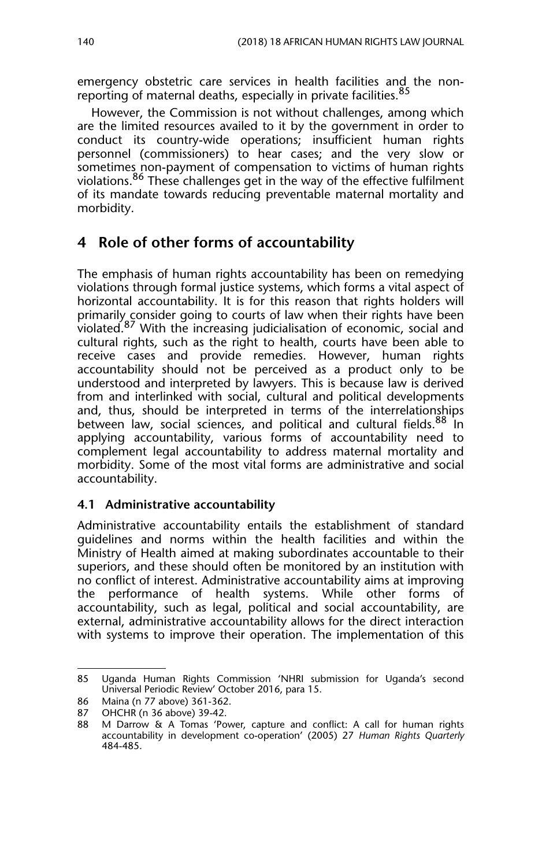emergency obstetric care services in health facilities and the nonreporting of maternal deaths, especially in private facilities.<sup>85</sup>

However, the Commission is not without challenges, among which are the limited resources availed to it by the government in order to conduct its country-wide operations; insufficient human rights personnel (commissioners) to hear cases; and the very slow or sometimes non-payment of compensation to victims of human rights violations.<sup>86</sup> These challenges get in the way of the effective fulfilment of its mandate towards reducing preventable maternal mortality and morbidity.

## **4 Role of other forms of accountability**

The emphasis of human rights accountability has been on remedying violations through formal justice systems, which forms a vital aspect of horizontal accountability. It is for this reason that rights holders will primarily consider going to courts of law when their rights have been violated.87 With the increasing judicialisation of economic, social and cultural rights, such as the right to health, courts have been able to receive cases and provide remedies. However, human rights accountability should not be perceived as a product only to be understood and interpreted by lawyers. This is because law is derived from and interlinked with social, cultural and political developments and, thus, should be interpreted in terms of the interrelationships between law, social sciences, and political and cultural fields.<sup>88</sup> In applying accountability, various forms of accountability need to complement legal accountability to address maternal mortality and morbidity. Some of the most vital forms are administrative and social accountability.

#### **4.1 Administrative accountability**

Administrative accountability entails the establishment of standard guidelines and norms within the health facilities and within the Ministry of Health aimed at making subordinates accountable to their superiors, and these should often be monitored by an institution with no conflict of interest. Administrative accountability aims at improving the performance of health systems. While other forms of accountability, such as legal, political and social accountability, are external, administrative accountability allows for the direct interaction with systems to improve their operation. The implementation of this

<sup>85</sup> Uganda Human Rights Commission 'NHRI submission for Uganda's second Universal Periodic Review' October 2016, para 15.

<sup>86</sup> Maina (n 77 above) 361-362.

<sup>87</sup> OHCHR (n 36 above) 39-42.

<sup>88</sup> M Darrow & A Tomas 'Power, capture and conflict: A call for human rights accountability in development co-operation' (2005) 27 *Human Rights Quarterly* 484-485.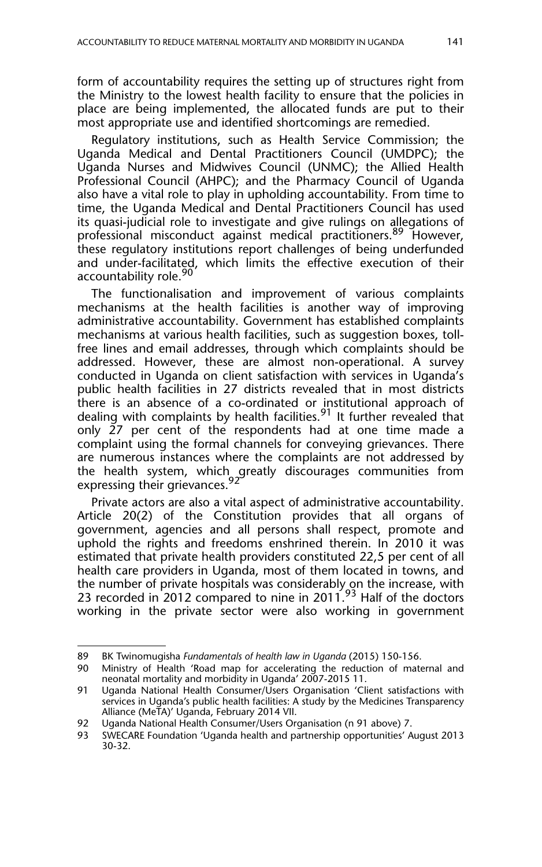form of accountability requires the setting up of structures right from the Ministry to the lowest health facility to ensure that the policies in place are being implemented, the allocated funds are put to their most appropriate use and identified shortcomings are remedied.

Regulatory institutions, such as Health Service Commission; the Uganda Medical and Dental Practitioners Council (UMDPC); the Uganda Nurses and Midwives Council (UNMC); the Allied Health Professional Council (AHPC); and the Pharmacy Council of Uganda also have a vital role to play in upholding accountability. From time to time, the Uganda Medical and Dental Practitioners Council has used its quasi-judicial role to investigate and give rulings on allegations of professional misconduct against medical practitioners.<sup>89</sup> However, these regulatory institutions report challenges of being underfunded and under-facilitated, which limits the effective execution of their accountability role.<sup>90</sup>

The functionalisation and improvement of various complaints mechanisms at the health facilities is another way of improving administrative accountability. Government has established complaints mechanisms at various health facilities, such as suggestion boxes, tollfree lines and email addresses, through which complaints should be addressed. However, these are almost non-operational. A survey conducted in Uganda on client satisfaction with services in Uganda's public health facilities in 27 districts revealed that in most districts there is an absence of a co-ordinated or institutional approach of dealing with complaints by health facilities.<sup>91</sup> It further revealed that only 27 per cent of the respondents had at one time made a complaint using the formal channels for conveying grievances. There are numerous instances where the complaints are not addressed by the health system, which greatly discourages communities from expressing their grievances.<sup>92</sup>

Private actors are also a vital aspect of administrative accountability. Article 20(2) of the Constitution provides that all organs of government, agencies and all persons shall respect, promote and uphold the rights and freedoms enshrined therein. In 2010 it was estimated that private health providers constituted 22,5 per cent of all health care providers in Uganda, most of them located in towns, and the number of private hospitals was considerably on the increase, with 23 recorded in 2012 compared to nine in 2011.<sup>93</sup> Half of the doctors working in the private sector were also working in government

<sup>89</sup> BK Twinomugisha *Fundamentals of health law in Uganda* (2015) 150-156.

Ministry of Health 'Road map for accelerating the reduction of maternal and neonatal mortality and morbidity in Uganda' 2007-2015 11.

<sup>91</sup> Uganda National Health Consumer/Users Organisation 'Client satisfactions with services in Uganda's public health facilities: A study by the Medicines Transparency Alliance (MeTA)' Uganda, February 2014 VII.

<sup>92</sup> Uganda National Health Consumer/Users Organisation (n 91 above) 7.

<sup>93</sup> SWECARE Foundation 'Uganda health and partnership opportunities' August 2013 30-32.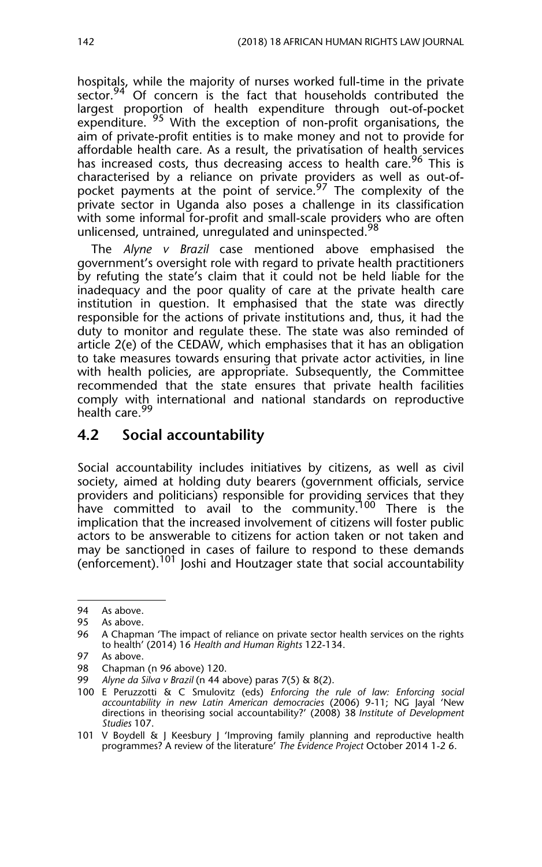hospitals, while the majority of nurses worked full-time in the private sector.<sup>94</sup> Of concern is the fact that households contributed the largest proportion of health expenditure through out-of-pocket expenditure. <sup>95</sup> With the exception of non-profit organisations, the aim of private-profit entities is to make money and not to provide for affordable health care. As a result, the privatisation of health services has increased costs, thus decreasing access to health care.<sup>96</sup> This is characterised by a reliance on private providers as well as out-ofpocket payments at the point of service.<sup>97</sup> The complexity of the private sector in Uganda also poses a challenge in its classification with some informal for-profit and small-scale providers who are often unlicensed, untrained, unregulated and uninspected.<sup>98</sup>

The *Alyne v Brazil* case mentioned above emphasised the government's oversight role with regard to private health practitioners by refuting the state's claim that it could not be held liable for the inadequacy and the poor quality of care at the private health care institution in question. It emphasised that the state was directly responsible for the actions of private institutions and, thus, it had the duty to monitor and regulate these. The state was also reminded of article 2(e) of the CEDAW, which emphasises that it has an obligation to take measures towards ensuring that private actor activities, in line with health policies, are appropriate. Subsequently, the Committee recommended that the state ensures that private health facilities comply with international and national standards on reproductive health care.<sup>99</sup>

### **4.2 Social accountability**

Social accountability includes initiatives by citizens, as well as civil society, aimed at holding duty bearers (government officials, service providers and politicians) responsible for providing services that they have committed to avail to the community.<sup>100</sup> There is the implication that the increased involvement of citizens will foster public actors to be answerable to citizens for action taken or not taken and may be sanctioned in cases of failure to respond to these demands (enforcement).<sup>101</sup> Joshi and Houtzager state that social accountability

<sup>94</sup> As above.

<sup>95</sup> As above.

<sup>96</sup> A Chapman 'The impact of reliance on private sector health services on the rights to health' (2014) 16 *Health and Human Rights* 122-134.

<sup>97</sup> As above.<br>98 Chapman

Chapman (n 96 above) 120.

<sup>99</sup> *Alyne da Silva v Brazil* (n 44 above) paras 7(5) & 8(2).

<sup>100</sup> E Peruzzotti & C Smulovitz (eds) *Enforcing the rule of law: Enforcing social accountability in new Latin American democracies* (2006) 9-11; NG Jayal 'New directions in theorising social accountability?' (2008) 38 *Institute of Development Studies* 107.

<sup>101</sup> V Boydell & J Keesbury J 'Improving family planning and reproductive health programmes? A review of the literature' *The Evidence Project* October 2014 1-2 6.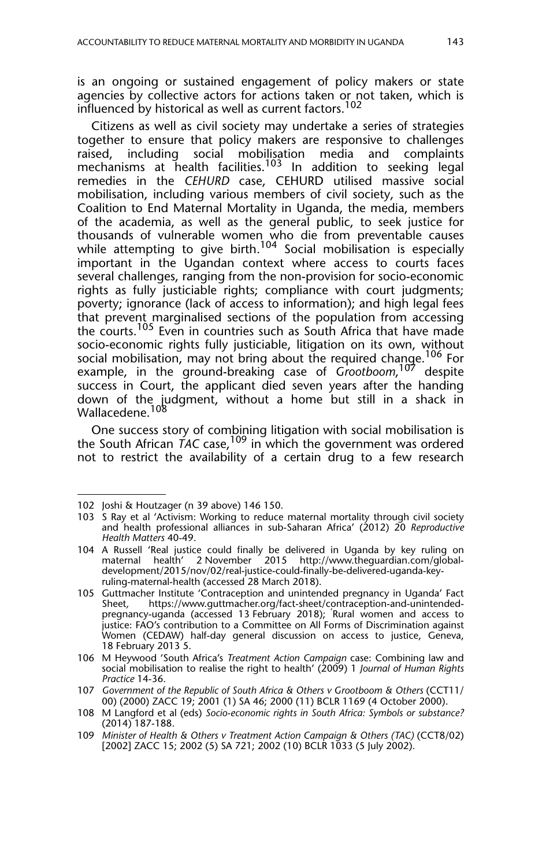is an ongoing or sustained engagement of policy makers or state agencies by collective actors for actions taken or not taken, which is influenced by historical as well as current factors.<sup>102</sup>

Citizens as well as civil society may undertake a series of strategies together to ensure that policy makers are responsive to challenges raised, including social mobilisation media and complaints mechanisms at health facilities.<sup>103</sup> In addition to seeking legal remedies in the *CEHURD* case, CEHURD utilised massive social mobilisation, including various members of civil society, such as the Coalition to End Maternal Mortality in Uganda, the media, members of the academia, as well as the general public, to seek justice for thousands of vulnerable women who die from preventable causes while attempting to give birth.<sup>104</sup> Social mobilisation is especially important in the Ugandan context where access to courts faces several challenges, ranging from the non-provision for socio-economic rights as fully justiciable rights; compliance with court judgments; poverty; ignorance (lack of access to information); and high legal fees that prevent marginalised sections of the population from accessing the courts.<sup>105</sup> Even in countries such as South Africa that have made socio-economic rights fully justiciable, litigation on its own, without social mobilisation, may not bring about the required change.<sup>106</sup> For example, in the ground-breaking case of *Grootboom*, <sup>107</sup> despite success in Court, the applicant died seven years after the handing down of the judgment, without a home but still in a shack in Wallacedene.<sup>108</sup>

One success story of combining litigation with social mobilisation is the South African TAC case,<sup>109</sup> in which the government was ordered not to restrict the availability of a certain drug to a few research

<sup>102</sup> Joshi & Houtzager (n 39 above) 146 150.

<sup>103</sup> S Ray et al 'Activism: Working to reduce maternal mortality through civil society and health professional alliances in sub-Saharan Africa' (2012) 20 *Reproductive Health Matters* 40-49.

<sup>104</sup> A Russell 'Real justice could finally be delivered in Uganda by key ruling on maternal health' 2 November 2015 http://www.theguardian.com/globaldevelopment/2015/nov/02/real-justice-could-finally-be-delivered-uganda-keyruling-maternal-health (accessed 28 March 2018).

<sup>105</sup> Guttmacher Institute 'Contraception and unintended pregnancy in Uganda' Fact https://www.guttmacher.org/fact-sheet/contraception-and-unintendedpregnancy-uganda (accessed 13 February 2018); 'Rural women and access to justice: FAO's contribution to a Committee on All Forms of Discrimination against Women (CEDAW) half-day general discussion on access to justice, Geneva, 18 February 2013 5.

<sup>106</sup> M Heywood 'South Africa's *Treatment Action Campaign* case: Combining law and social mobilisation to realise the right to health' (2009) 1 *Journal of Human Rights Practice* 14-36.

<sup>107</sup> *Government of the Republic of South Africa & Others v Grootboom & Others* (CCT11/ 00) (2000) ZACC 19; 2001 (1) SA 46; 2000 (11) BCLR 1169 (4 October 2000).

<sup>108</sup> M Langford et al (eds) *Socio-economic rights in South Africa: Symbols or substance?* (2014) 187-188.

<sup>109</sup> *Minister of Health & Others v Treatment Action Campaign & Others (TAC)* (CCT8/02) [2002] ZACC 15; 2002 (5) SA 721; 2002 (10) BCLR 1033 (5 July 2002).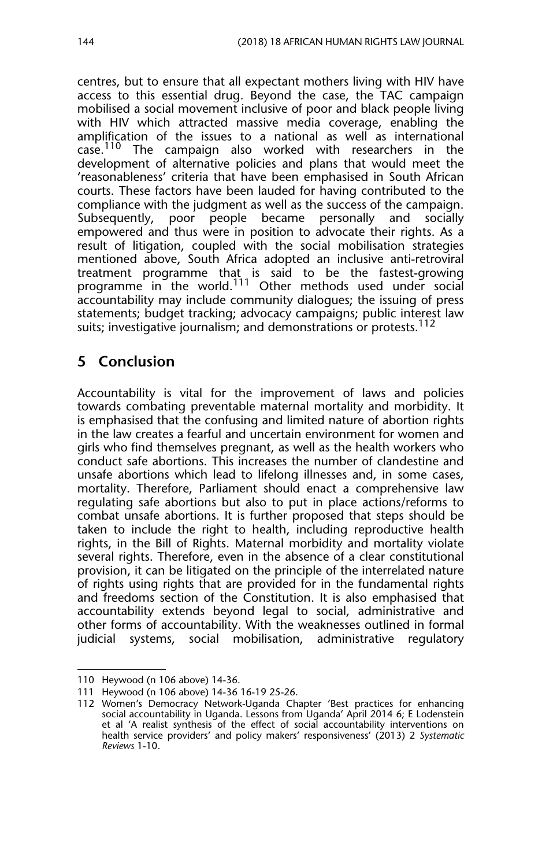centres, but to ensure that all expectant mothers living with HIV have access to this essential drug*.* Beyond the case, the TAC campaign mobilised a social movement inclusive of poor and black people living with HIV which attracted massive media coverage, enabling the amplification of the issues to a national as well as international case.<sup>110</sup> The campaign also worked with researchers in the development of alternative policies and plans that would meet the 'reasonableness' criteria that have been emphasised in South African courts. These factors have been lauded for having contributed to the compliance with the judgment as well as the success of the campaign. Subsequently, poor people became personally and socially empowered and thus were in position to advocate their rights. As a result of litigation, coupled with the social mobilisation strategies mentioned above, South Africa adopted an inclusive anti-retroviral treatment programme that is said to be the fastest-growing programme in the world.<sup>111</sup> Other methods used under social accountability may include community dialogues; the issuing of press statements; budget tracking; advocacy campaigns; public interest law suits; investigative journalism; and demonstrations or protests.<sup>112</sup>

## **5 Conclusion**

Accountability is vital for the improvement of laws and policies towards combating preventable maternal mortality and morbidity. It is emphasised that the confusing and limited nature of abortion rights in the law creates a fearful and uncertain environment for women and girls who find themselves pregnant, as well as the health workers who conduct safe abortions. This increases the number of clandestine and unsafe abortions which lead to lifelong illnesses and, in some cases, mortality. Therefore, Parliament should enact a comprehensive law regulating safe abortions but also to put in place actions/reforms to combat unsafe abortions. It is further proposed that steps should be taken to include the right to health, including reproductive health rights, in the Bill of Rights. Maternal morbidity and mortality violate several rights. Therefore, even in the absence of a clear constitutional provision, it can be litigated on the principle of the interrelated nature of rights using rights that are provided for in the fundamental rights and freedoms section of the Constitution. It is also emphasised that accountability extends beyond legal to social, administrative and other forms of accountability. With the weaknesses outlined in formal judicial systems, social mobilisation, administrative regulatory

<sup>110</sup> Heywood (n 106 above) 14-36.

<sup>111</sup> Heywood (n 106 above) 14-36 16-19 25-26.

<sup>112</sup> Women's Democracy Network-Uganda Chapter 'Best practices for enhancing social accountability in Uganda. Lessons from Uganda' April 2014 6; E Lodenstein et al 'A realist synthesis of the effect of social accountability interventions on health service providers' and policy makers' responsiveness' (2013) 2 *Systematic Reviews* 1-10.